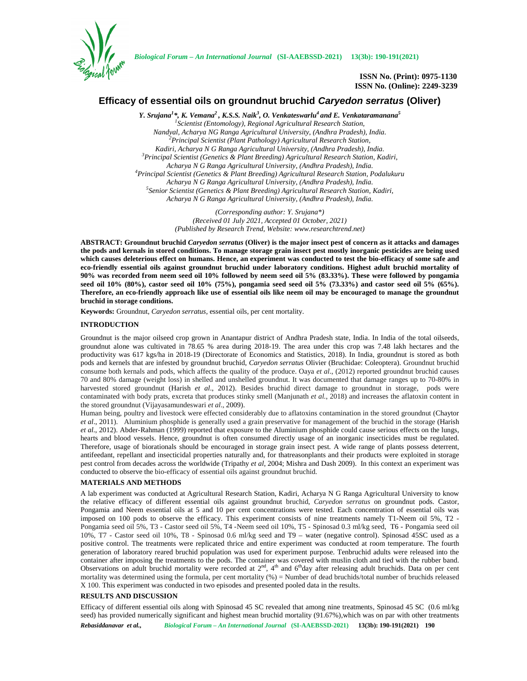

*Biological Forum – An International Journal* **(SI-AAEBSSD-2021) 13(3b): 190-191(2021)**

**ISSN No. (Print): 0975-1130 ISSN No. (Online): 2249-3239**

# **Efficacy of essential oils on groundnut bruchid** *Caryedon serratus* **(Oliver)**

*Y. Srujana<sup>1</sup>\*, K. Vemana<sup>2</sup> , K.S.S. Naik<sup>3</sup> , O. Venkateswarlu<sup>4</sup> and E. Venkataramanana<sup>5</sup> <sup>1</sup>Scientist (Entomology), Regional Agricultural Research Station, Nandyal, Acharya NG Ranga Agricultural University, (Andhra Pradesh), India. <sup>2</sup>Principal Scientist (Plant Pathology) Agricultural Research Station, Kadiri, Acharya N G Ranga Agricultural University, (Andhra Pradesh), India. <sup>3</sup>Principal Scientist (Genetics & Plant Breeding) Agricultural Research Station, Kadiri, Acharya N G Ranga Agricultural University, (Andhra Pradesh), India. <sup>4</sup>Principal Scientist (Genetics & Plant Breeding) Agricultural Research Station, Podalukuru Acharya N G Ranga Agricultural University, (Andhra Pradesh), India. <sup>5</sup>Senior Scientist (Genetics & Plant Breeding) Agricultural Research Station, Kadiri, Acharya N G Ranga Agricultural University, (Andhra Pradesh), India.*

> *(Corresponding author: Y. Srujana\*) (Received 01 July 2021, Accepted 01 October, 2021) (Published by Research Trend, Website: <www.researchtrend.net>)*

**ABSTRACT: Groundnut bruchid** *Caryedon serratus* **(Oliver) is the major insect pest of concern as it attacks and damages the pods and kernals in stored conditions. To manage storage grain insect pest mostly inorganic pesticides are being used which causes deleterious effect on humans. Hence, an experiment was conducted to test the bio-efficacy of some safe and eco-friendly essential oils against groundnut bruchid under laboratory conditions. Highest adult bruchid mortality of 90% was recorded from neem seed oil 10% followed by neem seed oil 5% (83.33%). These were followed by pongamia seed oil 10% (80%), castor seed oil 10% (75%), pongamia seed seed oil 5% (73.33%) and castor seed oil 5% (65%). Therefore, an eco-friendly approach like use of essential oils like neem oil may be encouraged to manage the groundnut bruchid in storage conditions.**

**Keywords:** Groundnut, *Caryedon serratus*, essential oils, per cent mortality.

## **INTRODUCTION**

Groundnut is the major oilseed crop grown in Anantapur district of Andhra Pradesh state, India. In India of the total oilseeds, groundnut alone was cultivated in 78.65 % area during 2018-19. The area under this crop was 7.48 lakh hectares and the productivity was 617 kgs/ha in 2018-19 (Directorate of Economics and Statistics, 2018). In India, groundnut is stored as both pods and kernels that are infested by groundnut bruchid, *Caryedon serratus* Olivier (Bruchidae: Coleoptera). Groundnut bruchid consume both kernals and pods, which affects the quality of the produce. Oaya *et al*., (2012) reported groundnut bruchid causes 70 and 80% damage (weight loss) in shelled and unshelled groundnut. It was documented that damage ranges up to 70-80% in harvested stored groundnut (Harish *et al*., 2012). Besides bruchid direct damage to groundnut in storage, pods were contaminated with body prats, excreta that produces stinky smell (Manjunath *et al.*, 2018) and increases the aflatoxin content in the stored groundnut (Vijayasamundeswari *et al*., 2009).

Human being, poultry and livestock were effected considerably due to aflatoxins contamination in the stored groundnut (Chaytor *et al*., 2011). Aluminium phosphide is generally used a grain preservative for management of the bruchid in the storage (Harish *et al*., 2012). Abder-Rahman (1999) reported that exposure to the Aluminium phosphide could cause serious effects on the lungs, hearts and blood vessels. Hence, groundnut is often consumed directly usage of an inorganic insecticides must be regulated. Therefore, usage of biorationals should be encouraged in storage grain insect pest. A wide range of plants possess deterrent, antifeedant, repellant and insecticidal properties naturally and, for thatreasonplants and their products were exploited in storage pest control from decades across the worldwide (Tripathy *et al*, 2004; Mishra and Dash 2009). In this context an experiment was conducted to observe the bio-efficacy of essential oils against groundnut bruchid.

## **MATERIALS AND METHODS**

A lab experiment was conducted at Agricultural Research Station, Kadiri, Acharya N G Ranga Agricultural University to know the relative efficacy of different essential oils against groundnut bruchid, *Caryedon serratus* on groundnut pods. Castor, Pongamia and Neem essential oils at 5 and 10 per cent concentrations were tested. Each concentration of essential oils was imposed on 100 pods to observe the efficacy. This experiment consists of nine treatments namely T1-Neem oil 5%, T2 - Pongamia seed oil 5%, T3 - Castor seed oil 5%, T4 -Neem seed oil 10%, T5 - Spinosad 0.3 ml/kg seed, T6 - Pongamia seed oil 10%, T7 - Castor seed oil 10%, T8 - Spinosad 0.6 ml/kg seed and T9 – water (negative control). Spinosad 45SC used as a positive control. The treatments were replicated thrice and entire experiment was conducted at room temperature. The fourth generation of laboratory reared bruchid population was used for experiment purpose. Tenbruchid adults were released into the container after imposing the treatments to the pods. The container was covered with muslin cloth and tied with the rubber band. Observations on adult bruchid mortality were recorded at  $2<sup>nd</sup>$ ,  $4<sup>th</sup>$  and  $6<sup>th</sup>$ day after releasing adult bruchids. Data on per cent mortality was determined using the formula, per cent mortality (%) = Number of dead bruchids/total number of bruchids released X 100. This experiment was conducted in two episodes and presented pooled data in the results.

# **RESULTS AND DISCUSSION**

Efficacy of different essential oils along with Spinosad 45 SC revealed that among nine treatments, Spinosad 45 SC (0.6 ml/kg seed) has provided numerically significant and highest mean bruchid mortality (91.67%), which was on par with other treatments

*Rebasiddanavar et al., Biological Forum – An International Journal* **(SI-AAEBSSD-2021) 13(3b): 190-191(2021) 190**